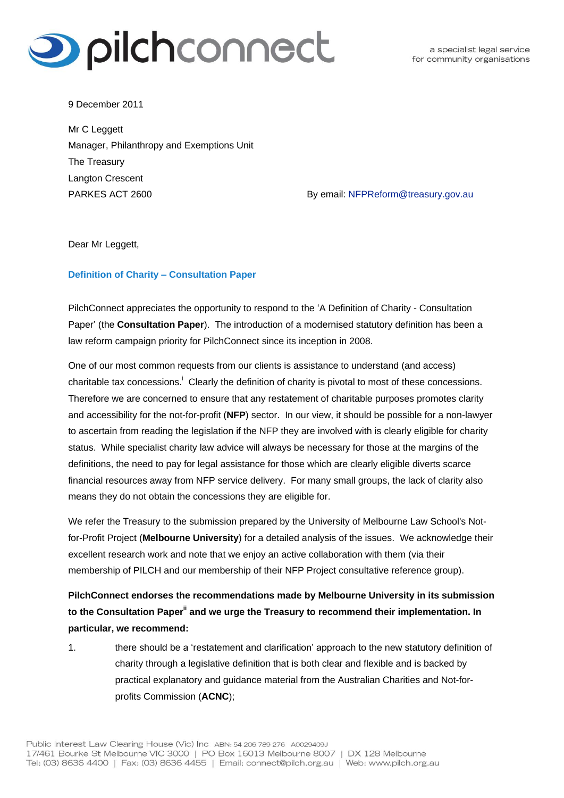

a specialist legal service for community organisations

9 December 2011

Mr C Leggett Manager, Philanthropy and Exemptions Unit The Treasury Langton Crescent PARKES ACT 2600 **By email: [NFPReform@treasury.gov.au](mailto:NFPReform@treasury.gov.au)** 

Dear Mr Leggett,

### **Definition of Charity – Consultation Paper**

PilchConnect appreciates the opportunity to respond to the 'A Definition of Charity - Consultation Paper' (the **Consultation Paper**). The introduction of a modernised statutory definition has been a law reform campaign priority for PilchConnect since its inception in 2008.

One of our most common requests from our clients is assistance to understand (and access) charitable tax concessions.<sup>1</sup> Clearly the definition of charity is pivotal to most of these concessions. Therefore we are concerned to ensure that any restatement of charitable purposes promotes clarity and accessibility for the not-for-profit (**NFP**) sector. In our view, it should be possible for a non-lawyer to ascertain from reading the legislation if the NFP they are involved with is clearly eligible for charity status. While specialist charity law advice will always be necessary for those at the margins of the definitions, the need to pay for legal assistance for those which are clearly eligible diverts scarce financial resources away from NFP service delivery. For many small groups, the lack of clarity also means they do not obtain the concessions they are eligible for.

We refer the Treasury to the submission prepared by the University of Melbourne Law School's Notfor-Profit Project (**Melbourne University**) for a detailed analysis of the issues. We acknowledge their excellent research work and note that we enjoy an active collaboration with them (via their membership of PILCH and our membership of their NFP Project consultative reference group).

**PilchConnect endorses the recommendations made by Melbourne University in its submission to the Consultation Paperii and we urge the Treasury to recommend their implementation. In particular, we recommend:** 

1. there should be a 'restatement and clarification' approach to the new statutory definition of charity through a legislative definition that is both clear and flexible and is backed by practical explanatory and guidance material from the Australian Charities and Not-forprofits Commission (**ACNC**);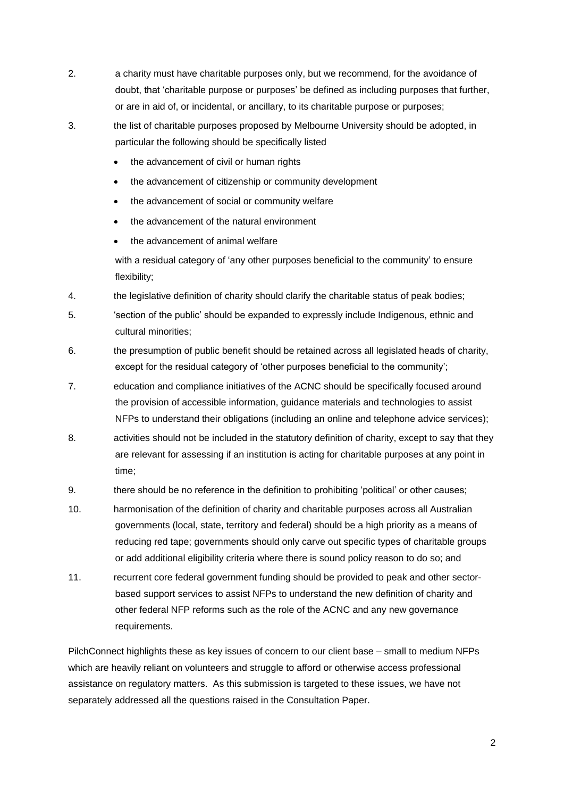- 2. a charity must have charitable purposes only, but we recommend, for the avoidance of doubt, that 'charitable purpose or purposes' be defined as including purposes that further, or are in aid of, or incidental, or ancillary, to its charitable purpose or purposes;
- 3. the list of charitable purposes proposed by Melbourne University should be adopted, in particular the following should be specifically listed
	- the advancement of civil or human rights
	- the advancement of citizenship or community development
	- the advancement of social or community welfare
	- the advancement of the natural environment
	- the advancement of animal welfare

with a residual category of 'any other purposes beneficial to the community' to ensure flexibility;

- 4. the legislative definition of charity should clarify the charitable status of peak bodies;
- 5. 'section of the public' should be expanded to expressly include Indigenous, ethnic and cultural minorities;
- 6. the presumption of public benefit should be retained across all legislated heads of charity, except for the residual category of 'other purposes beneficial to the community';
- 7. education and compliance initiatives of the ACNC should be specifically focused around the provision of accessible information, guidance materials and technologies to assist NFPs to understand their obligations (including an online and telephone advice services);
- 8. activities should not be included in the statutory definition of charity, except to say that they are relevant for assessing if an institution is acting for charitable purposes at any point in time;
- 9. there should be no reference in the definition to prohibiting 'political' or other causes;
- 10. harmonisation of the definition of charity and charitable purposes across all Australian governments (local, state, territory and federal) should be a high priority as a means of reducing red tape; governments should only carve out specific types of charitable groups or add additional eligibility criteria where there is sound policy reason to do so; and
- 11. recurrent core federal government funding should be provided to peak and other sectorbased support services to assist NFPs to understand the new definition of charity and other federal NFP reforms such as the role of the ACNC and any new governance requirements.

PilchConnect highlights these as key issues of concern to our client base – small to medium NFPs which are heavily reliant on volunteers and struggle to afford or otherwise access professional assistance on regulatory matters. As this submission is targeted to these issues, we have not separately addressed all the questions raised in the Consultation Paper.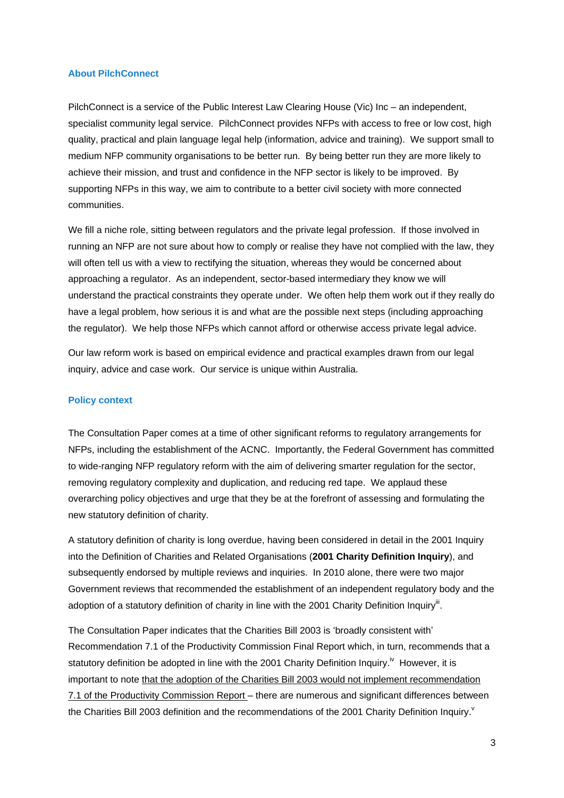#### **About PilchConnect**

PilchConnect is a service of the Public Interest Law Clearing House (Vic) Inc – an independent, specialist community legal service. PilchConnect provides NFPs with access to free or low cost, high quality, practical and plain language legal help (information, advice and training). We support small to medium NFP community organisations to be better run. By being better run they are more likely to achieve their mission, and trust and confidence in the NFP sector is likely to be improved. By supporting NFPs in this way, we aim to contribute to a better civil society with more connected communities.

We fill a niche role, sitting between regulators and the private legal profession. If those involved in running an NFP are not sure about how to comply or realise they have not complied with the law, they will often tell us with a view to rectifying the situation, whereas they would be concerned about approaching a regulator. As an independent, sector-based intermediary they know we will understand the practical constraints they operate under. We often help them work out if they really do have a legal problem, how serious it is and what are the possible next steps (including approaching the regulator). We help those NFPs which cannot afford or otherwise access private legal advice.

Our law reform work is based on empirical evidence and practical examples drawn from our legal inquiry, advice and case work. Our service is unique within Australia.

### **Policy context**

The Consultation Paper comes at a time of other significant reforms to regulatory arrangements for NFPs, including the establishment of the ACNC. Importantly, the Federal Government has committed to wide-ranging NFP regulatory reform with the aim of delivering smarter regulation for the sector, removing regulatory complexity and duplication, and reducing red tape. We applaud these overarching policy objectives and urge that they be at the forefront of assessing and formulating the new statutory definition of charity.

A statutory definition of charity is long overdue, having been considered in detail in the 2001 Inquiry into the Definition of Charities and Related Organisations (**2001 Charity Definition Inquiry**), and subsequently endorsed by multiple reviews and inquiries. In 2010 alone, there were two major Government reviews that recommended the establishment of an independent regulatory body and the adoption of a statutory definition of charity in line with the 2001 Charity Definition Inquiry<sup>iii</sup>.

The Consultation Paper indicates that the Charities Bill 2003 is 'broadly consistent with' Recommendation 7.1 of the Productivity Commission Final Report which, in turn, recommends that a statutory definition be adopted in line with the 2001 Charity Definition Inquiry.<sup>iv</sup> However, it is important to note that the adoption of the Charities Bill 2003 would not implement recommendation 7.1 of the Productivity Commission Report – there are numerous and significant differences between the Charities Bill 2003 definition and the recommendations of the 2001 Charity Definition Inquiry.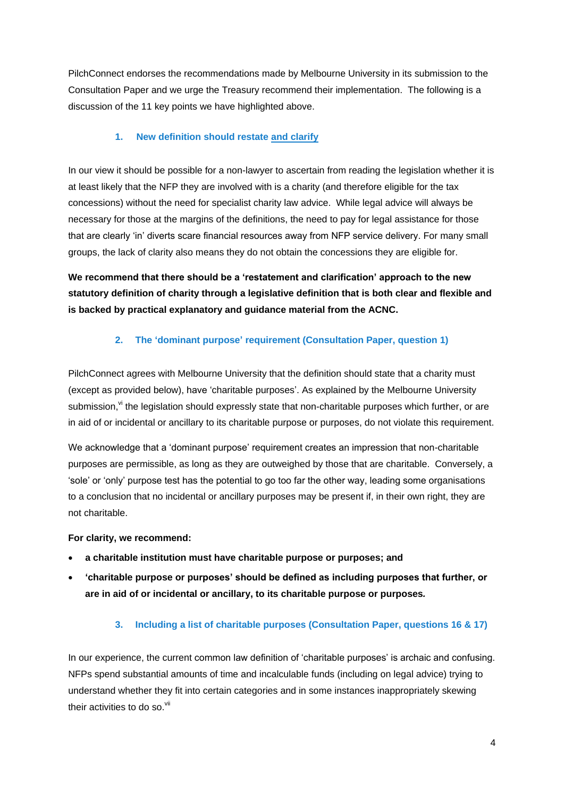PilchConnect endorses the recommendations made by Melbourne University in its submission to the Consultation Paper and we urge the Treasury recommend their implementation. The following is a discussion of the 11 key points we have highlighted above.

## **1. New definition should restate and clarify**

In our view it should be possible for a non-lawyer to ascertain from reading the legislation whether it is at least likely that the NFP they are involved with is a charity (and therefore eligible for the tax concessions) without the need for specialist charity law advice. While legal advice will always be necessary for those at the margins of the definitions, the need to pay for legal assistance for those that are clearly 'in' diverts scare financial resources away from NFP service delivery. For many small groups, the lack of clarity also means they do not obtain the concessions they are eligible for.

**We recommend that there should be a 'restatement and clarification' approach to the new statutory definition of charity through a legislative definition that is both clear and flexible and is backed by practical explanatory and guidance material from the ACNC.** 

## **2. The 'dominant purpose' requirement (Consultation Paper, question 1)**

PilchConnect agrees with Melbourne University that the definition should state that a charity must (except as provided below), have 'charitable purposes'. As explained by the Melbourne University submission,<sup>vi</sup> the legislation should expressly state that non-charitable purposes which further, or are in aid of or incidental or ancillary to its charitable purpose or purposes, do not violate this requirement.

We acknowledge that a 'dominant purpose' requirement creates an impression that non-charitable purposes are permissible, as long as they are outweighed by those that are charitable. Conversely, a 'sole' or 'only' purpose test has the potential to go too far the other way, leading some organisations to a conclusion that no incidental or ancillary purposes may be present if, in their own right, they are not charitable.

### **For clarity, we recommend:**

- **a charitable institution must have charitable purpose or purposes; and**
- **'charitable purpose or purposes' should be defined as including purposes that further, or are in aid of or incidental or ancillary, to its charitable purpose or purposes***.*

## **3. Including a list of charitable purposes (Consultation Paper, questions 16 & 17)**

In our experience, the current common law definition of 'charitable purposes' is archaic and confusing. NFPs spend substantial amounts of time and incalculable funds (including on legal advice) trying to understand whether they fit into certain categories and in some instances inappropriately skewing their activities to do so.<sup>vii</sup>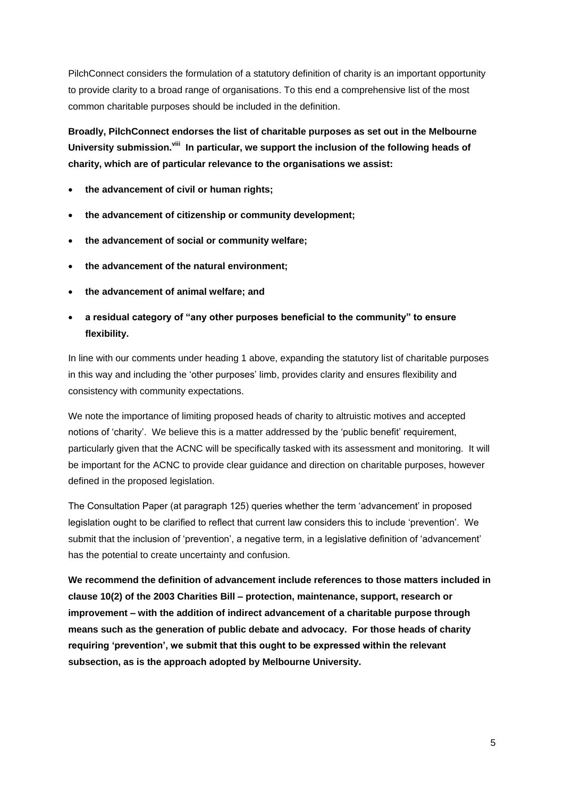PilchConnect considers the formulation of a statutory definition of charity is an important opportunity to provide clarity to a broad range of organisations. To this end a comprehensive list of the most common charitable purposes should be included in the definition.

**Broadly, PilchConnect endorses the list of charitable purposes as set out in the Melbourne**  University submission.<sup>viii</sup> In particular, we support the inclusion of the following heads of **charity, which are of particular relevance to the organisations we assist:**

- **the advancement of civil or human rights;**
- **the advancement of citizenship or community development;**
- **the advancement of social or community welfare;**
- **the advancement of the natural environment;**
- **the advancement of animal welfare; and**
- **a residual category of "any other purposes beneficial to the community" to ensure flexibility.**

In line with our comments under heading 1 above, expanding the statutory list of charitable purposes in this way and including the 'other purposes' limb, provides clarity and ensures flexibility and consistency with community expectations.

We note the importance of limiting proposed heads of charity to altruistic motives and accepted notions of 'charity'. We believe this is a matter addressed by the 'public benefit' requirement, particularly given that the ACNC will be specifically tasked with its assessment and monitoring. It will be important for the ACNC to provide clear guidance and direction on charitable purposes, however defined in the proposed legislation.

The Consultation Paper (at paragraph 125) queries whether the term 'advancement' in proposed legislation ought to be clarified to reflect that current law considers this to include 'prevention'. We submit that the inclusion of 'prevention', a negative term, in a legislative definition of 'advancement' has the potential to create uncertainty and confusion.

**We recommend the definition of advancement include references to those matters included in clause 10(2) of the 2003 Charities Bill – protection, maintenance, support, research or improvement – with the addition of indirect advancement of a charitable purpose through means such as the generation of public debate and advocacy. For those heads of charity requiring 'prevention', we submit that this ought to be expressed within the relevant subsection, as is the approach adopted by Melbourne University.**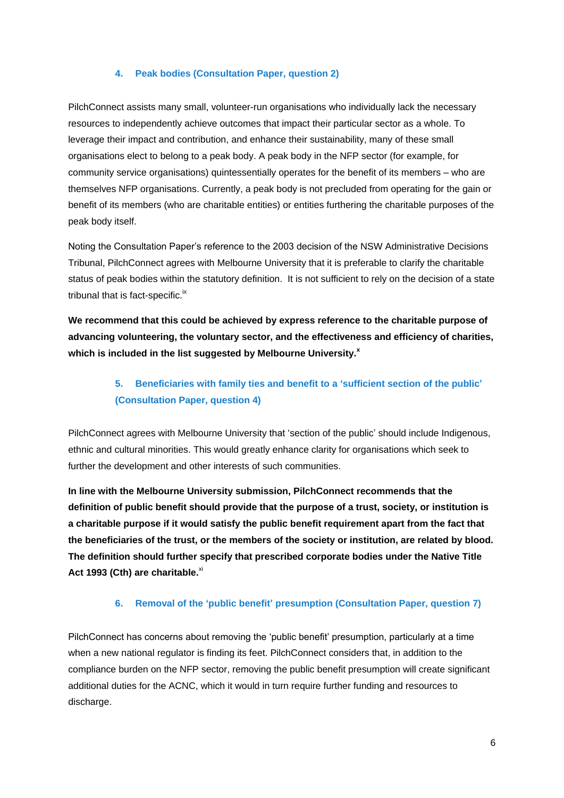### **4. Peak bodies (Consultation Paper, question 2)**

PilchConnect assists many small, volunteer-run organisations who individually lack the necessary resources to independently achieve outcomes that impact their particular sector as a whole. To leverage their impact and contribution, and enhance their sustainability, many of these small organisations elect to belong to a peak body. A peak body in the NFP sector (for example, for community service organisations) quintessentially operates for the benefit of its members – who are themselves NFP organisations. Currently, a peak body is not precluded from operating for the gain or benefit of its members (who are charitable entities) or entities furthering the charitable purposes of the peak body itself.

Noting the Consultation Paper's reference to the 2003 decision of the NSW Administrative Decisions Tribunal, PilchConnect agrees with Melbourne University that it is preferable to clarify the charitable status of peak bodies within the statutory definition. It is not sufficient to rely on the decision of a state tribunal that is fact-specific.<sup>ix</sup>

**We recommend that this could be achieved by express reference to the charitable purpose of advancing volunteering, the voluntary sector, and the effectiveness and efficiency of charities, which is included in the list suggested by Melbourne University. x**

## **5. Beneficiaries with family ties and benefit to a 'sufficient section of the public' (Consultation Paper, question 4)**

PilchConnect agrees with Melbourne University that 'section of the public' should include Indigenous, ethnic and cultural minorities. This would greatly enhance clarity for organisations which seek to further the development and other interests of such communities.

**In line with the Melbourne University submission, PilchConnect recommends that the definition of public benefit should provide that the purpose of a trust, society, or institution is a charitable purpose if it would satisfy the public benefit requirement apart from the fact that the beneficiaries of the trust, or the members of the society or institution, are related by blood. The definition should further specify that prescribed corporate bodies under the Native Title**  Act 1993 (Cth) are charitable.<sup>xi</sup>

### **6. Removal of the 'public benefit' presumption (Consultation Paper, question 7)**

PilchConnect has concerns about removing the 'public benefit' presumption, particularly at a time when a new national regulator is finding its feet. PilchConnect considers that, in addition to the compliance burden on the NFP sector, removing the public benefit presumption will create significant additional duties for the ACNC, which it would in turn require further funding and resources to discharge.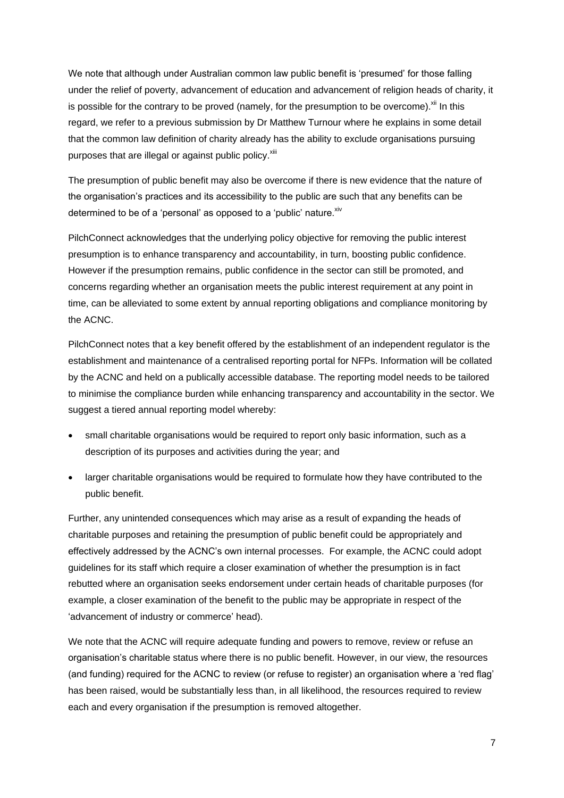We note that although under Australian common law public benefit is 'presumed' for those falling under the relief of poverty, advancement of education and advancement of religion heads of charity, it is possible for the contrary to be proved (namely, for the presumption to be overcome).  $^{x_{ii}}$  In this regard, we refer to a previous submission by Dr Matthew Turnour where he explains in some detail that the common law definition of charity already has the ability to exclude organisations pursuing purposes that are illegal or against public policy.<sup>xiii</sup>

The presumption of public benefit may also be overcome if there is new evidence that the nature of the organisation's practices and its accessibility to the public are such that any benefits can be determined to be of a 'personal' as opposed to a 'public' nature. Xiv

PilchConnect acknowledges that the underlying policy objective for removing the public interest presumption is to enhance transparency and accountability, in turn, boosting public confidence. However if the presumption remains, public confidence in the sector can still be promoted, and concerns regarding whether an organisation meets the public interest requirement at any point in time, can be alleviated to some extent by annual reporting obligations and compliance monitoring by the ACNC.

PilchConnect notes that a key benefit offered by the establishment of an independent regulator is the establishment and maintenance of a centralised reporting portal for NFPs. Information will be collated by the ACNC and held on a publically accessible database. The reporting model needs to be tailored to minimise the compliance burden while enhancing transparency and accountability in the sector. We suggest a tiered annual reporting model whereby:

- small charitable organisations would be required to report only basic information, such as a description of its purposes and activities during the year; and
- larger charitable organisations would be required to formulate how they have contributed to the public benefit.

Further, any unintended consequences which may arise as a result of expanding the heads of charitable purposes and retaining the presumption of public benefit could be appropriately and effectively addressed by the ACNC's own internal processes. For example, the ACNC could adopt guidelines for its staff which require a closer examination of whether the presumption is in fact rebutted where an organisation seeks endorsement under certain heads of charitable purposes (for example, a closer examination of the benefit to the public may be appropriate in respect of the 'advancement of industry or commerce' head).

We note that the ACNC will require adequate funding and powers to remove, review or refuse an organisation's charitable status where there is no public benefit. However, in our view, the resources (and funding) required for the ACNC to review (or refuse to register) an organisation where a 'red flag' has been raised, would be substantially less than, in all likelihood, the resources required to review each and every organisation if the presumption is removed altogether.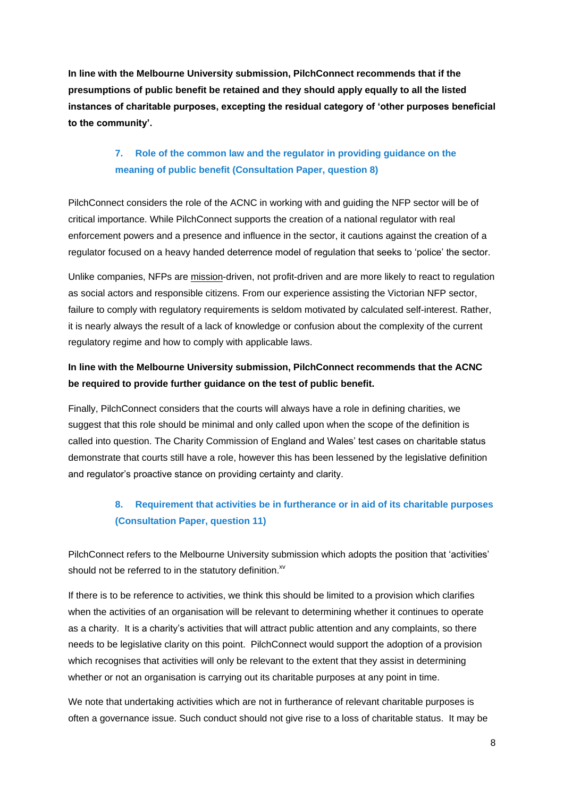**In line with the Melbourne University submission, PilchConnect recommends that if the presumptions of public benefit be retained and they should apply equally to all the listed instances of charitable purposes, excepting the residual category of 'other purposes beneficial to the community'.**

## **7. Role of the common law and the regulator in providing guidance on the meaning of public benefit (Consultation Paper, question 8)**

PilchConnect considers the role of the ACNC in working with and guiding the NFP sector will be of critical importance. While PilchConnect supports the creation of a national regulator with real enforcement powers and a presence and influence in the sector, it cautions against the creation of a regulator focused on a heavy handed deterrence model of regulation that seeks to 'police' the sector.

Unlike companies, NFPs are mission-driven, not profit-driven and are more likely to react to regulation as social actors and responsible citizens. From our experience assisting the Victorian NFP sector, failure to comply with regulatory requirements is seldom motivated by calculated self-interest. Rather, it is nearly always the result of a lack of knowledge or confusion about the complexity of the current regulatory regime and how to comply with applicable laws.

## **In line with the Melbourne University submission, PilchConnect recommends that the ACNC be required to provide further guidance on the test of public benefit.**

Finally, PilchConnect considers that the courts will always have a role in defining charities, we suggest that this role should be minimal and only called upon when the scope of the definition is called into question. The Charity Commission of England and Wales' test cases on charitable status demonstrate that courts still have a role, however this has been lessened by the legislative definition and regulator's proactive stance on providing certainty and clarity.

# **8. Requirement that activities be in furtherance or in aid of its charitable purposes (Consultation Paper, question 11)**

PilchConnect refers to the Melbourne University submission which adopts the position that 'activities' should not be referred to in the statutory definition.<sup>xv</sup>

If there is to be reference to activities, we think this should be limited to a provision which clarifies when the activities of an organisation will be relevant to determining whether it continues to operate as a charity. It is a charity's activities that will attract public attention and any complaints, so there needs to be legislative clarity on this point. PilchConnect would support the adoption of a provision which recognises that activities will only be relevant to the extent that they assist in determining whether or not an organisation is carrying out its charitable purposes at any point in time.

We note that undertaking activities which are not in furtherance of relevant charitable purposes is often a governance issue. Such conduct should not give rise to a loss of charitable status. It may be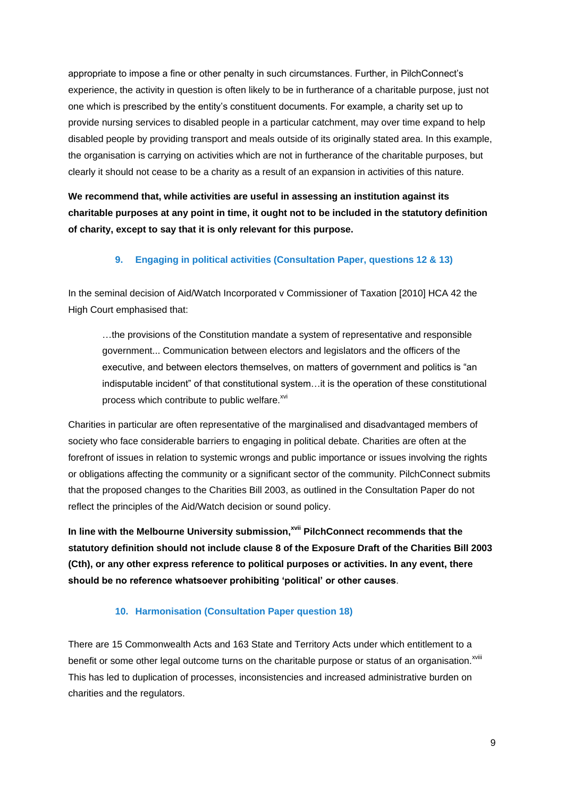appropriate to impose a fine or other penalty in such circumstances. Further, in PilchConnect's experience, the activity in question is often likely to be in furtherance of a charitable purpose, just not one which is prescribed by the entity's constituent documents. For example, a charity set up to provide nursing services to disabled people in a particular catchment, may over time expand to help disabled people by providing transport and meals outside of its originally stated area. In this example, the organisation is carrying on activities which are not in furtherance of the charitable purposes, but clearly it should not cease to be a charity as a result of an expansion in activities of this nature.

**We recommend that, while activities are useful in assessing an institution against its charitable purposes at any point in time, it ought not to be included in the statutory definition of charity, except to say that it is only relevant for this purpose.**

## **9. Engaging in political activities (Consultation Paper, questions 12 & 13)**

In the seminal decision of Aid/Watch Incorporated v Commissioner of Taxation [2010] HCA 42 the High Court emphasised that:

…the provisions of the Constitution mandate a system of representative and responsible government... Communication between electors and legislators and the officers of the executive, and between electors themselves, on matters of government and politics is "an indisputable incident" of that constitutional system…it is the operation of these constitutional process which contribute to public welfare. xvi

Charities in particular are often representative of the marginalised and disadvantaged members of society who face considerable barriers to engaging in political debate. Charities are often at the forefront of issues in relation to systemic wrongs and public importance or issues involving the rights or obligations affecting the community or a significant sector of the community. PilchConnect submits that the proposed changes to the Charities Bill 2003, as outlined in the Consultation Paper do not reflect the principles of the Aid/Watch decision or sound policy.

**In line with the Melbourne University submission,xvii PilchConnect recommends that the statutory definition should not include clause 8 of the Exposure Draft of the Charities Bill 2003 (Cth), or any other express reference to political purposes or activities. In any event, there should be no reference whatsoever prohibiting 'political' or other causes**.

## **10. Harmonisation (Consultation Paper question 18)**

There are 15 Commonwealth Acts and 163 State and Territory Acts under which entitlement to a benefit or some other legal outcome turns on the charitable purpose or status of an organisation.<sup>xviii</sup> This has led to duplication of processes, inconsistencies and increased administrative burden on charities and the regulators.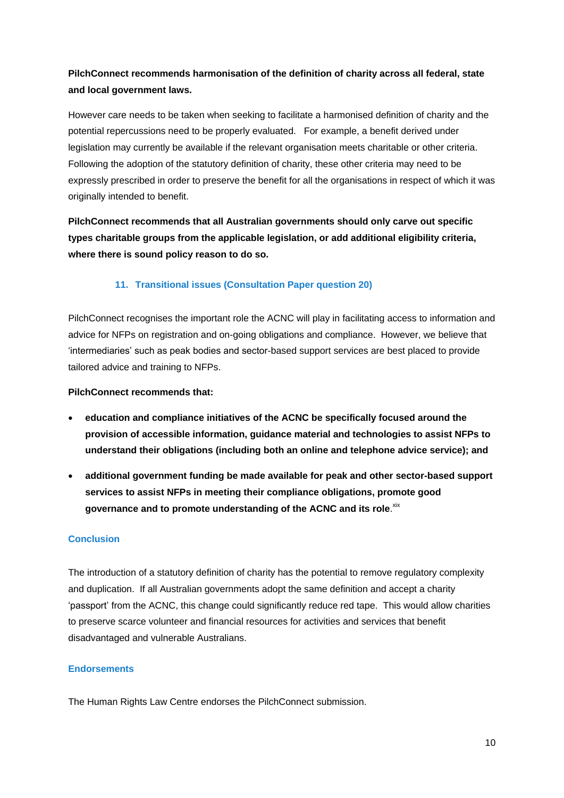# **PilchConnect recommends harmonisation of the definition of charity across all federal, state and local government laws.**

However care needs to be taken when seeking to facilitate a harmonised definition of charity and the potential repercussions need to be properly evaluated. For example, a benefit derived under legislation may currently be available if the relevant organisation meets charitable or other criteria. Following the adoption of the statutory definition of charity, these other criteria may need to be expressly prescribed in order to preserve the benefit for all the organisations in respect of which it was originally intended to benefit.

**PilchConnect recommends that all Australian governments should only carve out specific types charitable groups from the applicable legislation, or add additional eligibility criteria, where there is sound policy reason to do so.**

## **11. Transitional issues (Consultation Paper question 20)**

PilchConnect recognises the important role the ACNC will play in facilitating access to information and advice for NFPs on registration and on-going obligations and compliance. However, we believe that 'intermediaries' such as peak bodies and sector-based support services are best placed to provide tailored advice and training to NFPs.

### **PilchConnect recommends that:**

- **education and compliance initiatives of the ACNC be specifically focused around the provision of accessible information, guidance material and technologies to assist NFPs to understand their obligations (including both an online and telephone advice service); and**
- **additional government funding be made available for peak and other sector-based support services to assist NFPs in meeting their compliance obligations, promote good**  governance and to promote understanding of the ACNC and its role.<sup>xix</sup>

## **Conclusion**

The introduction of a statutory definition of charity has the potential to remove regulatory complexity and duplication. If all Australian governments adopt the same definition and accept a charity 'passport' from the ACNC, this change could significantly reduce red tape. This would allow charities to preserve scarce volunteer and financial resources for activities and services that benefit disadvantaged and vulnerable Australians.

### **Endorsements**

The Human Rights Law Centre endorses the PilchConnect submission.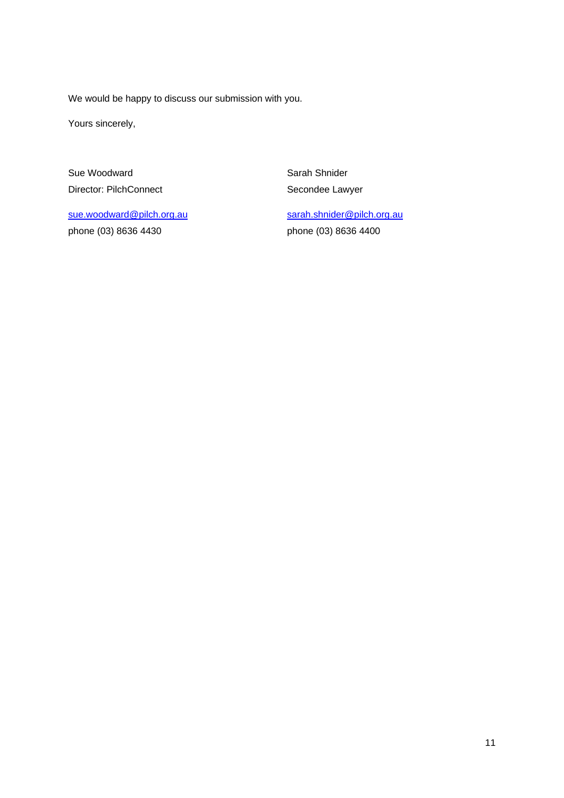We would be happy to discuss our submission with you.

Yours sincerely,

Sue Woodward Director: PilchConnect

[sue.woodward@pilch.org.au](mailto:sue.woodward@pilch.org.au) phone (03) 8636 4430

Sarah Shnider Secondee Lawyer

[sarah.shnider@pilch.org.au](mailto:sarah.shnider@pilch.org.au) phone (03) 8636 4400